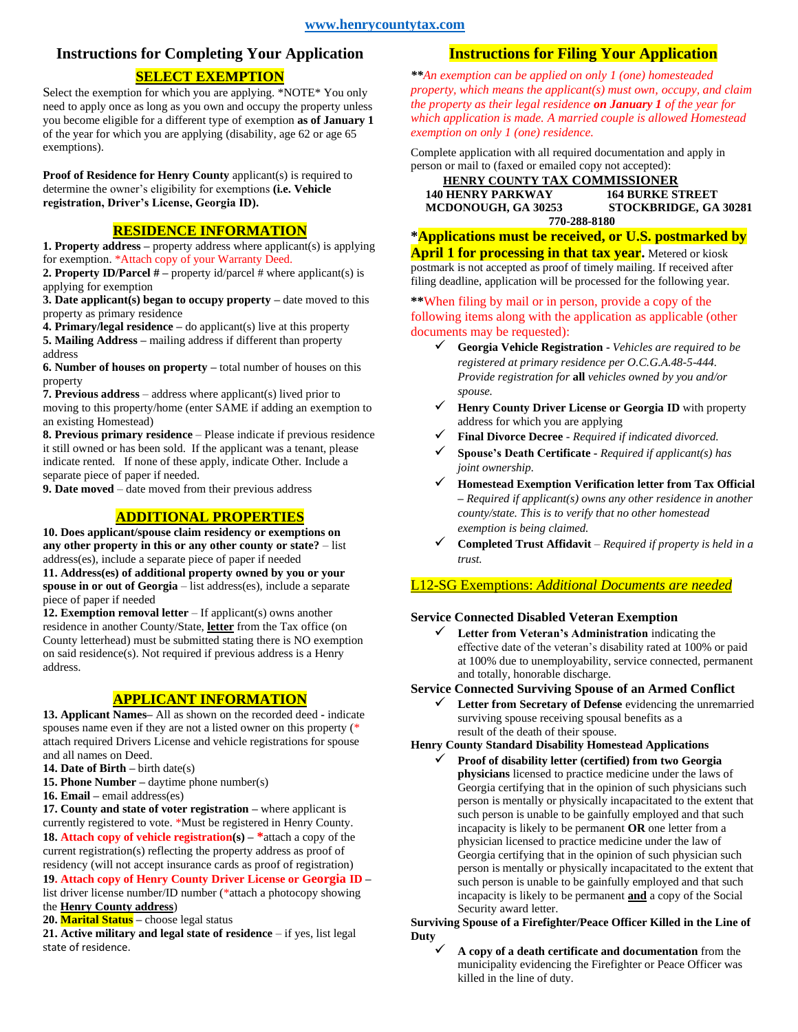# **Instructions for Completing Your Application**

## **SELECT EXEMPTION**

Select the exemption for which you are applying. \*NOTE\* You only need to apply once as long as you own and occupy the property unless you become eligible for a different type of exemption **as of January 1** of the year for which you are applying (disability, age 62 or age 65 exemptions).

**Proof of Residence for Henry County** applicant(s) is required to determine the owner's eligibility for exemptions **(i.e. Vehicle registration, Driver's License, Georgia ID).**

## **RESIDENCE INFORMATION**

**1. Property address –** property address where applicant(s) is applying for exemption. \*Attach copy of your Warranty Deed.

**2. Property ID/Parcel # –** property id/parcel # where applicant(s) is applying for exemption

**3. Date applicant(s) began to occupy property –** date moved to this property as primary residence

**4. Primary/legal residence –** do applicant(s) live at this property **5. Mailing Address –** mailing address if different than property address

**6. Number of houses on property –** total number of houses on this property

**7. Previous address** – address where applicant(s) lived prior to moving to this property/home (enter SAME if adding an exemption to an existing Homestead)

**8. Previous primary residence** – Please indicate if previous residence it still owned or has been sold. If the applicant was a tenant, please indicate rented. If none of these apply, indicate Other. Include a separate piece of paper if needed.

**9. Date moved** – date moved from their previous address

## **ADDITIONAL PROPERTIES**

**10. Does applicant/spouse claim residency or exemptions on any other property in this or any other county or state?** – list address(es), include a separate piece of paper if needed

**11. Address(es) of additional property owned by you or your spouse in or out of Georgia** – list address(es), include a separate piece of paper if needed

**12. Exemption removal letter** – If applicant(s) owns another residence in another County/State, **letter** from the Tax office (on County letterhead) must be submitted stating there is NO exemption on said residence(s). Not required if previous address is a Henry address.

### **APPLICANT INFORMATION**

**13. Applicant Names–** All as shown on the recorded deed **-** indicate spouses name even if they are not a listed owner on this property (\* attach required Drivers License and vehicle registrations for spouse and all names on Deed.

**14. Date of Birth –** birth date(s)

- **15. Phone Number –** daytime phone number(s)
- **16. Email –** email address(es)

**17. County and state of voter registration –** where applicant is currently registered to vote. \*Must be registered in Henry County. **18. Attach copy of vehicle registration(s) – \***attach a copy of the current registration(s) reflecting the property address as proof of residency (will not accept insurance cards as proof of registration)

**19. Attach copy of Henry County Driver License or Georgia ID –** list driver license number/ID number (\*attach a photocopy showing the **Henry County address**)

**20. Marital Status –** choose legal status

**21. Active military and legal state of residence** – if yes, list legal state of residence.

## **Instructions for Filing Your Application**

*\*\*An exemption can be applied on only 1 (one) homesteaded property, which means the applicant(s) must own, occupy, and claim the property as their legal residence on January 1 of the year for which application is made. A married couple is allowed Homestead exemption on only 1 (one) residence.*

Complete application with all required documentation and apply in person or mail to (faxed or emailed copy not accepted):

#### **HENRY COUNTY TAX COMMISSIONER 140 HENRY PARKWAY<br>
MCDONOUGH, GA 30253 MCDONOUGH, GA 30253 STOCKBRIDGE, GA 30281 770-288-8180**

**\*Applications must be received, or U.S. postmarked by**  April 1 for processing in that tax year. Metered or kiosk postmark is not accepted as proof of timely mailing. If received after filing deadline, application will be processed for the following year.

### **\*\***When filing by mail or in person, provide a copy of the following items along with the application as applicable (other documents may be requested):

- ✓ **Georgia Vehicle Registration -** *Vehicles are required to be registered at primary residence per O.C.G.A.48-5-444. Provide registration for* **all** *vehicles owned by you and/or spouse.*
- ✓ **Henry County Driver License or Georgia ID** with property address for which you are applying
- ✓ **Final Divorce Decree** *- Required if indicated divorced.*
- ✓ **Spouse's Death Certificate -** *Required if applicant(s) has joint ownership.*
- ✓ **Homestead Exemption Verification letter from Tax Official –** *Required if applicant(s) owns any other residence in another county/state. This is to verify that no other homestead exemption is being claimed.*
- ✓ **Completed Trust Affidavit**  *Required if property is held in a trust.*

### L12-SG Exemptions: *Additional Documents are needed*

## **Service Connected Disabled Veteran Exemption**

Letter from Veteran's Administration indicating the effective date of the veteran's disability rated at 100% or paid at 100% due to unemployability, service connected, permanent and totally, honorable discharge.

#### **Service Connected Surviving Spouse of an Armed Conflict**

✓ **Letter from Secretary of Defense** evidencing the unremarried surviving spouse receiving spousal benefits as a result of the death of their spouse.

#### **Henry County Standard Disability Homestead Applications**

✓ **Proof of disability letter (certified) from two Georgia physicians** licensed to practice medicine under the laws of Georgia certifying that in the opinion of such physicians such person is mentally or physically incapacitated to the extent that such person is unable to be gainfully employed and that such incapacity is likely to be permanent **OR** one letter from a physician licensed to practice medicine under the law of Georgia certifying that in the opinion of such physician such person is mentally or physically incapacitated to the extent that such person is unable to be gainfully employed and that such incapacity is likely to be permanent **and** a copy of the Social Security award letter.

#### **Surviving Spouse of a Firefighter/Peace Officer Killed in the Line of Duty**

✓ **A copy of a death certificate and documentation** from the municipality evidencing the Firefighter or Peace Officer was killed in the line of duty.